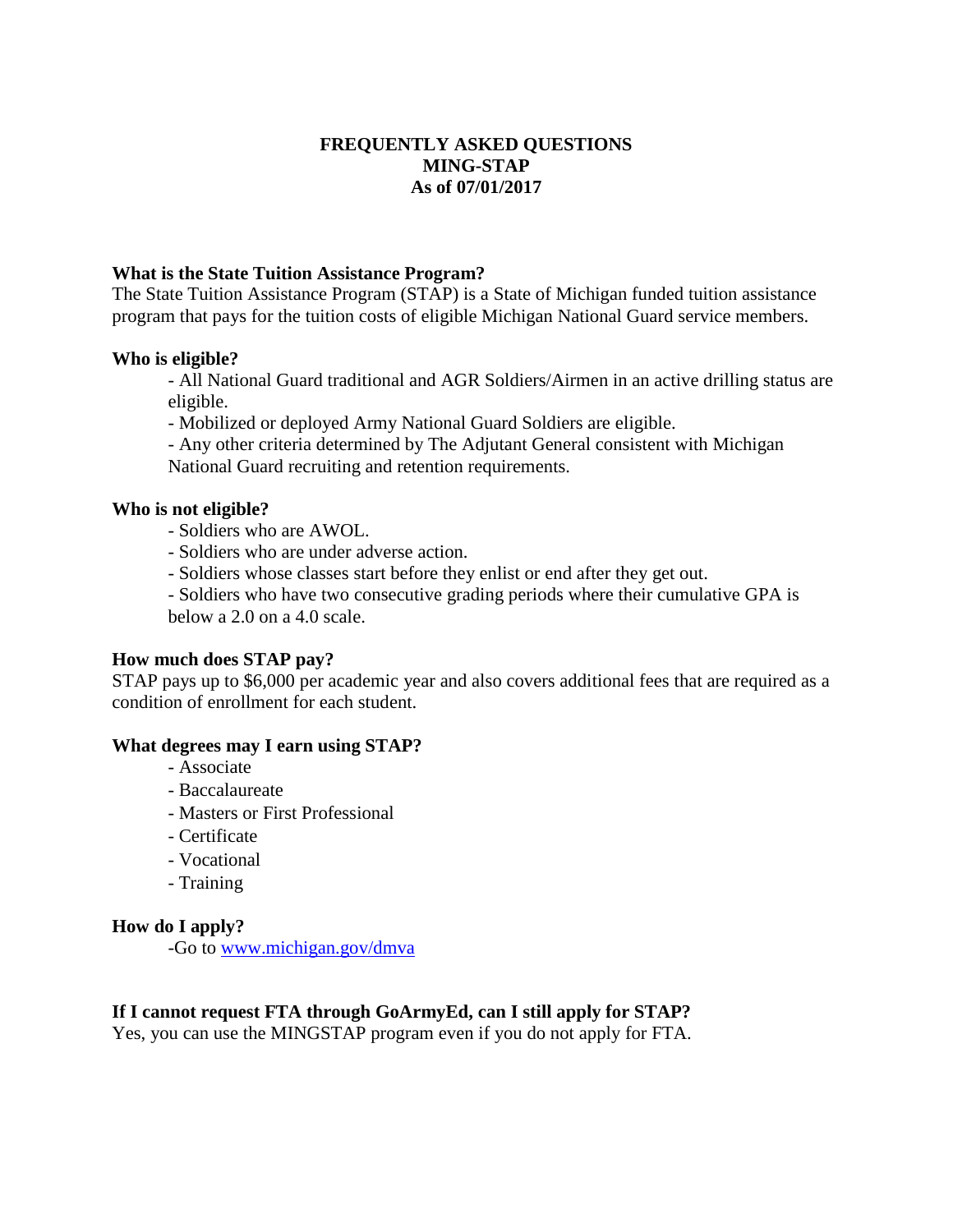# **FREQUENTLY ASKED QUESTIONS MING-STAP As of 07/01/2017**

# **What is the State Tuition Assistance Program?**

The State Tuition Assistance Program (STAP) is a State of Michigan funded tuition assistance program that pays for the tuition costs of eligible Michigan National Guard service members.

#### **Who is eligible?**

- All National Guard traditional and AGR Soldiers/Airmen in an active drilling status are eligible.

- Mobilized or deployed Army National Guard Soldiers are eligible.

- Any other criteria determined by The Adjutant General consistent with Michigan National Guard recruiting and retention requirements.

#### **Who is not eligible?**

- Soldiers who are AWOL.
- Soldiers who are under adverse action.
- Soldiers whose classes start before they enlist or end after they get out.

- Soldiers who have two consecutive grading periods where their cumulative GPA is below a 2.0 on a 4.0 scale.

#### **How much does STAP pay?**

STAP pays up to \$6,000 per academic year and also covers additional fees that are required as a condition of enrollment for each student.

#### **What degrees may I earn using STAP?**

- Associate
- Baccalaureate
- Masters or First Professional
- Certificate
- Vocational
- Training

#### **How do I apply?**

-Go to [www.michigan.gov/dmva](http://www.michigan.gov/dmva)

#### **If I cannot request FTA through GoArmyEd, can I still apply for STAP?**

Yes, you can use the MINGSTAP program even if you do not apply for FTA.